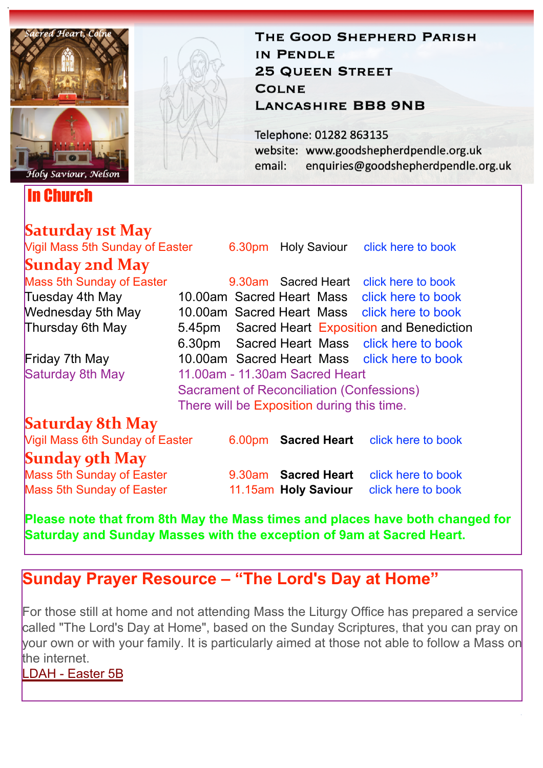

In Church

# **Saturday 1st May**

THE GOOD SHEPHERD PARISH IN PENDLE **25 QUEEN STREET COLNE LANCASHIRE BB8 9NB** 

Telephone: 01282 863135 website: www.goodshepherdpendle.org.uk email: enquiries@goodshepherdpendle.org.uk

| Vigil Mass 5th Sunday of Easter                                        |                                                  |                                |  |  | 6.30pm Holy Saviour click here to book         |
|------------------------------------------------------------------------|--------------------------------------------------|--------------------------------|--|--|------------------------------------------------|
| <b>Sunday 2nd May</b>                                                  |                                                  |                                |  |  |                                                |
| <b>Mass 5th Sunday of Easter</b>                                       |                                                  |                                |  |  | 9.30am Sacred Heart click here to book         |
| Tuesday 4th May                                                        |                                                  |                                |  |  | 10.00am Sacred Heart Mass click here to book   |
| Wednesday 5th May                                                      |                                                  |                                |  |  | 10.00am Sacred Heart Mass click here to book   |
| Thursday 6th May                                                       |                                                  |                                |  |  | 5.45pm Sacred Heart Exposition and Benediction |
|                                                                        |                                                  |                                |  |  | 6.30pm Sacred Heart Mass click here to book    |
| Friday 7th May                                                         |                                                  |                                |  |  | 10.00am Sacred Heart Mass click here to book   |
| Saturday 8th May                                                       |                                                  | 11,00am - 11,30am Sacred Heart |  |  |                                                |
|                                                                        | <b>Sacrament of Reconciliation (Confessions)</b> |                                |  |  |                                                |
|                                                                        | There will be Exposition during this time.       |                                |  |  |                                                |
| Saturday 8th May                                                       |                                                  |                                |  |  |                                                |
| Vigil Mass 6th Sunday of Easter                                        |                                                  | 6.00 <sub>pm</sub>             |  |  | <b>Sacred Heart</b> click here to book         |
| $C_{\text{max}}$ $\lambda$ and $\lambda$ $\lambda$ $\lambda$ $\lambda$ |                                                  |                                |  |  |                                                |

#### **Sunday 9th May**

Mass 5th Sunday of Easter 9.30am **Sacred Heart** [click here to book](https://www.eventbrite.co.uk/e/152699130209) Mass 5th Sunday of Easter 11.15am **Holy Saviour** [click here to book](https://www.eventbrite.co.uk/e/152699683865)

**Please note that from 8th May the Mass times and places have both changed for Saturday and Sunday Masses with the exception of 9am at Sacred Heart.**

## **Sunday Prayer Resource – "The Lord's Day at Home"**

For those still at home and not attending Mass the Liturgy Office has prepared a service called "The Lord's Day at Home", based on the Sunday Scriptures, that you can pray on your own or with your family. It is particularly aimed at those not able to follow a Mass on the internet.

[LDAH - Easter 5B](https://gbr01.safelinks.protection.outlook.com/?url=https%3A%2F%2Fdioceseofsalford.us6.list-manage.com%2Ftrack%2Fclick%3Fu%3D76e219dab8653b775ba8aac4c%26id%3D89591adf1d%26e%3D5ce69633f0&data=04%7C01%7Cpeter.wilkinson%40dioceseofsalford.org.uk%7C16139c699fb94521b3fc08d90a1dce02%7C699a61ae142a45a090c604b2f08de19b%7C0%7C0%7C637551945388551237%7CUnknown%7CTWFpbGZsb3d8eyJWIjoiMC4wLjAwMDAiLCJQIjoiV2luMzIiLCJBTiI6Ik1haWwiLCJXVCI6Mn0%3D%7C1000&sdata=nAOfw6tnPXv1k22IPhvp7t%2B5Vuep7YYrHYdQY8f3XfA%3D&reserved=0)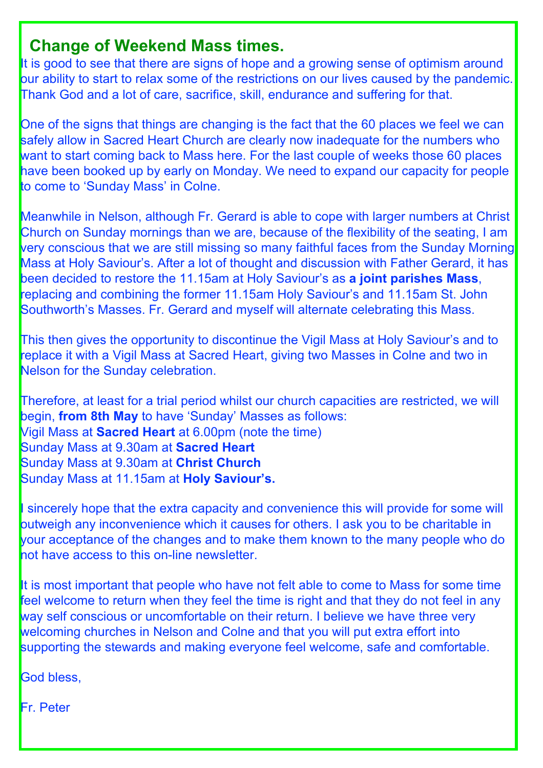#### **Change of Weekend Mass times.**

It is good to see that there are signs of hope and a growing sense of optimism around our ability to start to relax some of the restrictions on our lives caused by the pandemic. Thank God and a lot of care, sacrifice, skill, endurance and suffering for that.

One of the signs that things are changing is the fact that the 60 places we feel we can safely allow in Sacred Heart Church are clearly now inadequate for the numbers who want to start coming back to Mass here. For the last couple of weeks those 60 places have been booked up by early on Monday. We need to expand our capacity for people to come to 'Sunday Mass' in Colne.

Meanwhile in Nelson, although Fr. Gerard is able to cope with larger numbers at Christ Church on Sunday mornings than we are, because of the flexibility of the seating, I am very conscious that we are still missing so many faithful faces from the Sunday Morning Mass at Holy Saviour's. After a lot of thought and discussion with Father Gerard, it has been decided to restore the 11.15am at Holy Saviour's as **a joint parishes Mass**, replacing and combining the former 11.15am Holy Saviour's and 11.15am St. John Southworth's Masses. Fr. Gerard and myself will alternate celebrating this Mass.

This then gives the opportunity to discontinue the Vigil Mass at Holy Saviour's and to replace it with a Vigil Mass at Sacred Heart, giving two Masses in Colne and two in Nelson for the Sunday celebration.

Therefore, at least for a trial period whilst our church capacities are restricted, we will begin, **from 8th May** to have 'Sunday' Masses as follows: Vigil Mass at **Sacred Heart** at 6.00pm (note the time) Sunday Mass at 9.30am at **Sacred Heart** Sunday Mass at 9.30am at **Christ Church** Sunday Mass at 11.15am at **Holy Saviour's.**

I sincerely hope that the extra capacity and convenience this will provide for some will outweigh any inconvenience which it causes for others. I ask you to be charitable in your acceptance of the changes and to make them known to the many people who do not have access to this on-line newsletter.

It is most important that people who have not felt able to come to Mass for some time feel welcome to return when they feel the time is right and that they do not feel in any way self conscious or uncomfortable on their return. I believe we have three very welcoming churches in Nelson and Colne and that you will put extra effort into supporting the stewards and making everyone feel welcome, safe and comfortable.

God bless,

Fr. Peter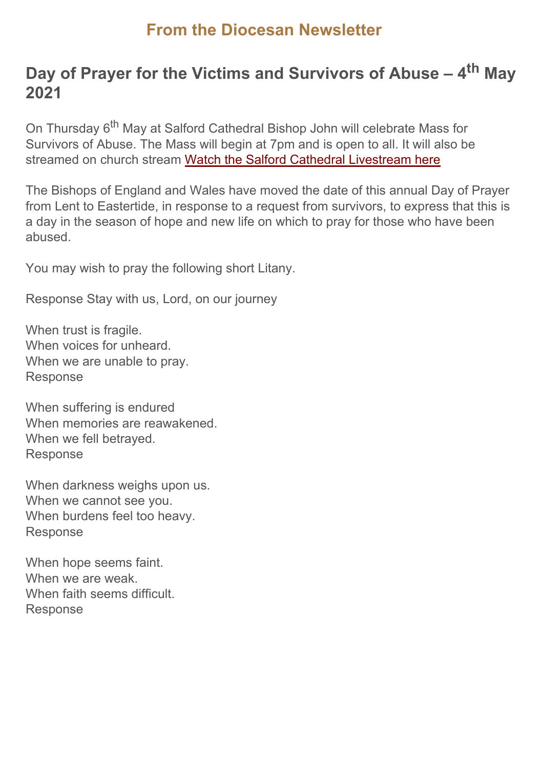#### **From the Diocesan Newsletter**

## **Day of Prayer for the Victims and Survivors of Abuse – 4th May 2021**

On Thursday 6<sup>th</sup> May at Salford Cathedral Bishop John will celebrate Mass for Survivors of Abuse. The Mass will begin at 7pm and is open to all. It will also be streamed on church stream [Watch the Salford Cathedral Livestream here](https://gbr01.safelinks.protection.outlook.com/?url=https%3A%2F%2Fdioceseofsalford.us6.list-manage.com%2Ftrack%2Fclick%3Fu%3D76e219dab8653b775ba8aac4c%26id%3Da4c97e527a%26e%3D5ce69633f0&data=04%7C01%7Cpeter.wilkinson%40dioceseofsalford.org.uk%7C16139c699fb94521b3fc08d90a1dce02%7C699a61ae142a45a090c604b2f08de19b%7C0%7C0%7C637551945388501454%7CUnknown%7CTWFpbGZsb3d8eyJWIjoiMC4wLjAwMDAiLCJQIjoiV2luMzIiLCJBTiI6Ik1haWwiLCJXVCI6Mn0%3D%7C1000&sdata=JLZ%2BAXkg4hXB52wNMwZtDu74QXLpV383OzkdHXnoJSQ%3D&reserved=0)

The Bishops of England and Wales have moved the date of this annual Day of Prayer from Lent to Eastertide, in response to a request from survivors, to express that this is a day in the season of hope and new life on which to pray for those who have been abused.

You may wish to pray the following short Litany.

Response Stay with us, Lord, on our journey

When trust is fragile. When voices for unheard. When we are unable to pray. Response

When suffering is endured When memories are reawakened. When we fell betrayed. Response

When darkness weighs upon us. When we cannot see you. When burdens feel too heavy. Response

When hope seems faint. When we are weak. When faith seems difficult. Response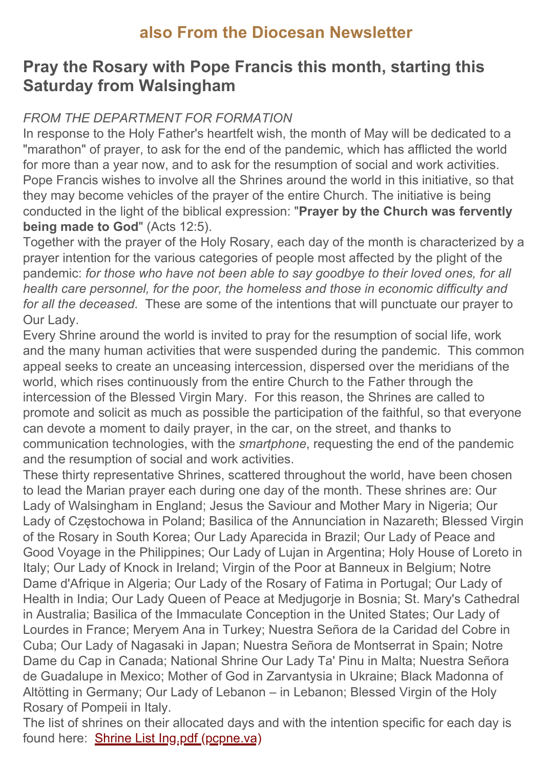### **also From the Diocesan Newsletter**

#### **Pray the Rosary with Pope Francis this month, starting this Saturday from Walsingham**

#### *FROM THE DEPARTMENT FOR FORMATION*

In response to the Holy Father's heartfelt wish, the month of May will be dedicated to a "marathon" of prayer, to ask for the end of the pandemic, which has afflicted the world for more than a year now, and to ask for the resumption of social and work activities. Pope Francis wishes to involve all the Shrines around the world in this initiative, so that they may become vehicles of the prayer of the entire Church. The initiative is being conducted in the light of the biblical expression: "**Prayer by the Church was fervently being made to God"** (Acts 12:5).

Together with the prayer of the Holy Rosary, each day of the month is characterized by a prayer intention for the various categories of people most affected by the plight of the pandemic: *for those who have not been able to say goodbye to their loved ones, for all health care personnel, for the poor, the homeless and those in economic difficulty and for all the deceased*. These are some of the intentions that will punctuate our prayer to Our Lady.

Every Shrine around the world is invited to pray for the resumption of social life, work and the many human activities that were suspended during the pandemic. This common appeal seeks to create an unceasing intercession, dispersed over the meridians of the world, which rises continuously from the entire Church to the Father through the intercession of the Blessed Virgin Mary. For this reason, the Shrines are called to promote and solicit as much as possible the participation of the faithful, so that everyone can devote a moment to daily prayer, in the car, on the street, and thanks to communication technologies, with the *smartphone*, requesting the end of the pandemic and the resumption of social and work activities.

These thirty representative Shrines, scattered throughout the world, have been chosen to lead the Marian prayer each during one day of the month. These shrines are: Our Lady of Walsingham in England; Jesus the Saviour and Mother Mary in Nigeria; Our Lady of Częstochowa in Poland; Basilica of the Annunciation in Nazareth; Blessed Virgin of the Rosary in South Korea; Our Lady Aparecida in Brazil; Our Lady of Peace and Good Voyage in the Philippines; Our Lady of Lujan in Argentina; Holy House of Loreto in Italy; Our Lady of Knock in Ireland; Virgin of the Poor at Banneux in Belgium; Notre Dame d'Afrique in Algeria; Our Lady of the Rosary of Fatima in Portugal; Our Lady of Health in India; Our Lady Queen of Peace at Medjugorje in Bosnia; St. Mary's Cathedral in Australia; Basilica of the Immaculate Conception in the United States; Our Lady of Lourdes in France; Meryem Ana in Turkey; Nuestra Señora de la Caridad del Cobre in Cuba; Our Lady of Nagasaki in Japan; Nuestra Señora de Montserrat in Spain; Notre Dame du Cap in Canada; National Shrine Our Lady Ta' Pinu in Malta; Nuestra Señora de Guadalupe in Mexico; Mother of God in Zarvantysia in Ukraine; Black Madonna of Altötting in Germany; Our Lady of Lebanon – in Lebanon; Blessed Virgin of the Holy Rosary of Pompeii in Italy.

The list of shrines on their allocated days and with the intention specific for each day is found here: [Shrine List Ing.pdf \(pcpne.va\)](https://gbr01.safelinks.protection.outlook.com/?url=https%3A%2F%2Fdioceseofsalford.us6.list-manage.com%2Ftrack%2Fclick%3Fu%3D76e219dab8653b775ba8aac4c%26id%3D1ebf2eb7eb%26e%3D5ce69633f0&data=04%7C01%7Cpeter.wilkinson%40dioceseofsalford.org.uk%7C16139c699fb94521b3fc08d90a1dce02%7C699a61ae142a45a090c604b2f08de19b%7C0%7C0%7C637551945388501454%7CUnknown%7CTWFpbGZsb3d8eyJWIjoiMC4wLjAwMDAiLCJQIjoiV2luMzIiLCJBTiI6Ik1haWwiLCJXVCI6Mn0%3D%7C1000&sdata=2SXYTdWs0O0MIUM6EfhydNAuEz7oG%2Fgg5gp7psDAMxs%3D&reserved=0)